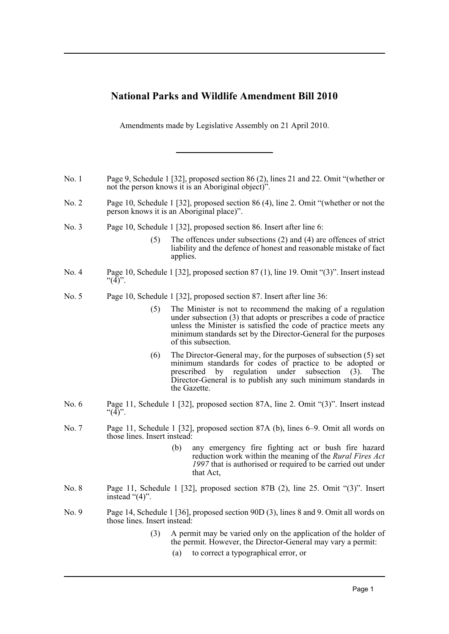## **National Parks and Wildlife Amendment Bill 2010**

Amendments made by Legislative Assembly on 21 April 2010.

- No. 1 Page 9, Schedule 1 [32], proposed section 86 (2), lines 21 and 22. Omit "(whether or not the person knows it is an Aboriginal object)".
- No. 2 Page 10, Schedule 1 [32], proposed section 86 (4), line 2. Omit "(whether or not the person knows it is an Aboriginal place)".
- No. 3 Page 10, Schedule 1 [32], proposed section 86. Insert after line 6:
	- (5) The offences under subsections (2) and (4) are offences of strict liability and the defence of honest and reasonable mistake of fact applies.
- No. 4 Page 10, Schedule 1 [32], proposed section 87 (1), line 19. Omit "(3)". Insert instead " $(4)$ ".
- No. 5 Page 10, Schedule 1 [32], proposed section 87. Insert after line 36:
	- (5) The Minister is not to recommend the making of a regulation under subsection (3) that adopts or prescribes a code of practice unless the Minister is satisfied the code of practice meets any minimum standards set by the Director-General for the purposes of this subsection.
	- (6) The Director-General may, for the purposes of subsection (5) set minimum standards for codes of practice to be adopted or prescribed by regulation under subsection (3). The Director-General is to publish any such minimum standards in the Gazette.
- No. 6 Page 11, Schedule 1 [32], proposed section 87A, line 2. Omit "(3)". Insert instead " $(4)$ ".
- No. 7 Page 11, Schedule 1 [32], proposed section 87A (b), lines 6–9. Omit all words on those lines. Insert instead:
	- (b) any emergency fire fighting act or bush fire hazard reduction work within the meaning of the *Rural Fires Act 1997* that is authorised or required to be carried out under that Act,
- No. 8 Page 11, Schedule 1 [32], proposed section 87B (2), line 25. Omit "(3)". Insert instead "(4)".
- No. 9 Page 14, Schedule 1 [36], proposed section 90D (3), lines 8 and 9. Omit all words on those lines. Insert instead:
	- (3) A permit may be varied only on the application of the holder of the permit. However, the Director-General may vary a permit:
		- (a) to correct a typographical error, or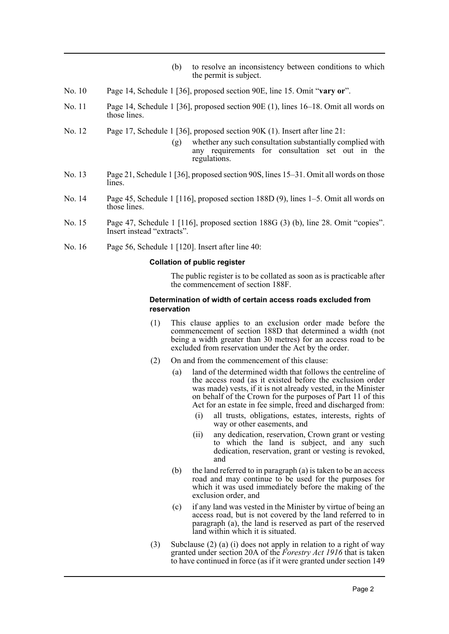- (b) to resolve an inconsistency between conditions to which the permit is subject.
- No. 10 Page 14, Schedule 1 [36], proposed section 90E, line 15. Omit "**vary or**".
- No. 11 Page 14, Schedule 1 [36], proposed section 90E (1), lines 16–18. Omit all words on those lines.
- No. 12 Page 17, Schedule 1 [36], proposed section 90K (1). Insert after line 21:
	- (g) whether any such consultation substantially complied with any requirements for consultation set out in the regulations.
- No. 13 Page 21, Schedule 1 [36], proposed section 90S, lines 15–31. Omit all words on those lines.
- No. 14 Page 45, Schedule 1 [116], proposed section 188D (9), lines 1–5. Omit all words on those lines.
- No. 15 Page 47, Schedule 1 [116], proposed section 188G (3) (b), line 28. Omit "copies". Insert instead "extracts".
- No. 16 Page 56, Schedule 1 [120]. Insert after line 40:

## **Collation of public register**

The public register is to be collated as soon as is practicable after the commencement of section 188F.

## **Determination of width of certain access roads excluded from reservation**

- (1) This clause applies to an exclusion order made before the commencement of section 188D that determined a width (not being a width greater than 30 metres) for an access road to be excluded from reservation under the Act by the order.
- (2) On and from the commencement of this clause:
	- (a) land of the determined width that follows the centreline of the access road (as it existed before the exclusion order was made) vests, if it is not already vested, in the Minister on behalf of the Crown for the purposes of Part 11 of this Act for an estate in fee simple, freed and discharged from:
		- (i) all trusts, obligations, estates, interests, rights of way or other easements, and
		- (ii) any dedication, reservation, Crown grant or vesting to which the land is subject, and any such dedication, reservation, grant or vesting is revoked, and
	- (b) the land referred to in paragraph (a) is taken to be an access road and may continue to be used for the purposes for which it was used immediately before the making of the exclusion order, and
	- (c) if any land was vested in the Minister by virtue of being an access road, but is not covered by the land referred to in paragraph (a), the land is reserved as part of the reserved land within which it is situated.
- (3) Subclause (2) (a) (i) does not apply in relation to a right of way granted under section 20A of the *Forestry Act 1916* that is taken to have continued in force (as if it were granted under section 149